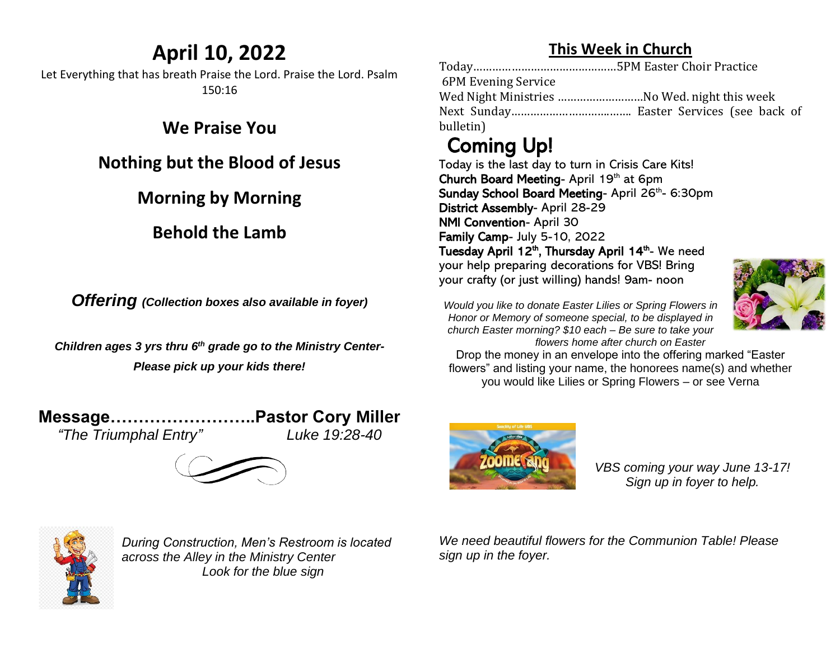## **April 10, 2022**

Let Everything that has breath Praise the Lord. Praise the Lord. Psalm 150:16

#### **We Praise You**

#### **Nothing but the Blood of Jesus**

### **Morning by Morning**

#### **Behold the Lamb**

*Offering (Collection boxes also available in foyer)*

*Children ages 3 yrs thru 6 th grade go to the Ministry Center-Please pick up your kids there!*

*"The Triumphal Entry" Luke 19:28-40*

**Message……………………..Pastor Cory Miller**





*During Construction, Men's Restroom is located across the Alley in the Ministry Center Look for the blue sign*

**This Week in Church**

Today………………………………………5PM Easter Choir Practice 6PM Evening Service Wed Night Ministries ………………………No Wed. night this week Next Sunday………………………….……. Easter Services (see back of bulletin)

# Coming Up!

Today is the last day to turn in Crisis Care Kits! Church Board Meeting- April 19th at 6pm Sunday School Board Meeting- April 26<sup>th</sup>- 6:30pm District Assembly- April 28-29 NMI Convention- April 30 Family Camp- July 5-10, 2022 Tuesday April 12<sup>th</sup>, Thursday April 14<sup>th</sup>- We need your help preparing decorations for VBS! Bring your crafty (or just willing) hands! 9am- noon



*Would you like to donate Easter Lilies or Spring Flowers in Honor or Memory of someone special, to be displayed in church Easter morning? \$10 each – Be sure to take your flowers home after church on Easter*

Drop the money in an envelope into the offering marked "Easter flowers" and listing your name, the honorees name(s) and whether you would like Lilies or Spring Flowers – or see Verna



*VBS coming your way June 13-17! Sign up in foyer to help.*